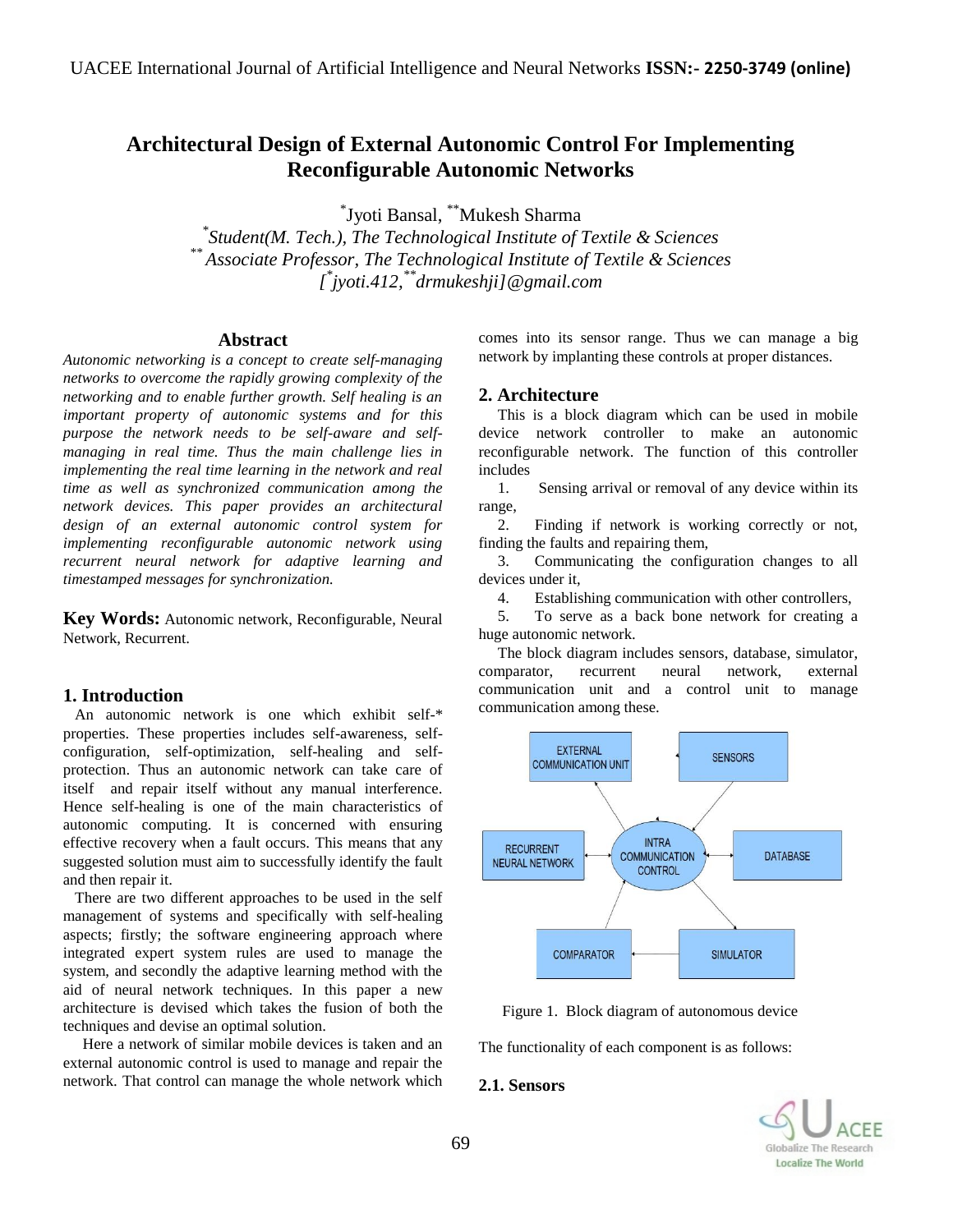# **Architectural Design of External Autonomic Control For Implementing Reconfigurable Autonomic Networks**

\* Jyoti Bansal, \*\*Mukesh Sharma

*\* Student(M. Tech.), The Technological Institute of Textile & Sciences \*\* Associate Professor, The Technological Institute of Textile & Sciences [ \* jyoti.412, \*\*drmukeshji]@gmail.com*

# **Abstract**

*Autonomic networking is a concept to create self-managing networks to overcome the rapidly growing complexity of the networking and to enable further growth. Self healing is an important property of autonomic systems and for this purpose the network needs to be self-aware and selfmanaging in real time. Thus the main challenge lies in implementing the real time learning in the network and real time as well as synchronized communication among the network devices. This paper provides an architectural design of an external autonomic control system for implementing reconfigurable autonomic network using recurrent neural network for adaptive learning and timestamped messages for synchronization.*

**Key Words:** Autonomic network, Reconfigurable, Neural Network, Recurrent.

### **1. Introduction**

 An autonomic network is one which exhibit self-\* properties. These properties includes self-awareness, selfconfiguration, self-optimization, self-healing and selfprotection. Thus an autonomic network can take care of itself and repair itself without any manual interference. Hence self-healing is one of the main characteristics of autonomic computing. It is concerned with ensuring effective recovery when a fault occurs. This means that any suggested solution must aim to successfully identify the fault and then repair it.

 There are two different approaches to be used in the self management of systems and specifically with self-healing aspects; firstly; the software engineering approach where integrated expert system rules are used to manage the system, and secondly the adaptive learning method with the aid of neural network techniques. In this paper a new architecture is devised which takes the fusion of both the techniques and devise an optimal solution.

 Here a network of similar mobile devices is taken and an external autonomic control is used to manage and repair the network. That control can manage the whole network which comes into its sensor range. Thus we can manage a big network by implanting these controls at proper distances.

### **2. Architecture**

This is a block diagram which can be used in mobile device network controller to make an autonomic reconfigurable network. The function of this controller includes

1. Sensing arrival or removal of any device within its range,

2. Finding if network is working correctly or not, finding the faults and repairing them,

3. Communicating the configuration changes to all devices under it,

4. Establishing communication with other controllers,

5. To serve as a back bone network for creating a huge autonomic network.

The block diagram includes sensors, database, simulator, comparator, recurrent neural network, external communication unit and a control unit to manage communication among these.



Figure 1. Block diagram of autonomous device

The functionality of each component is as follows:

#### **2.1. Sensors**

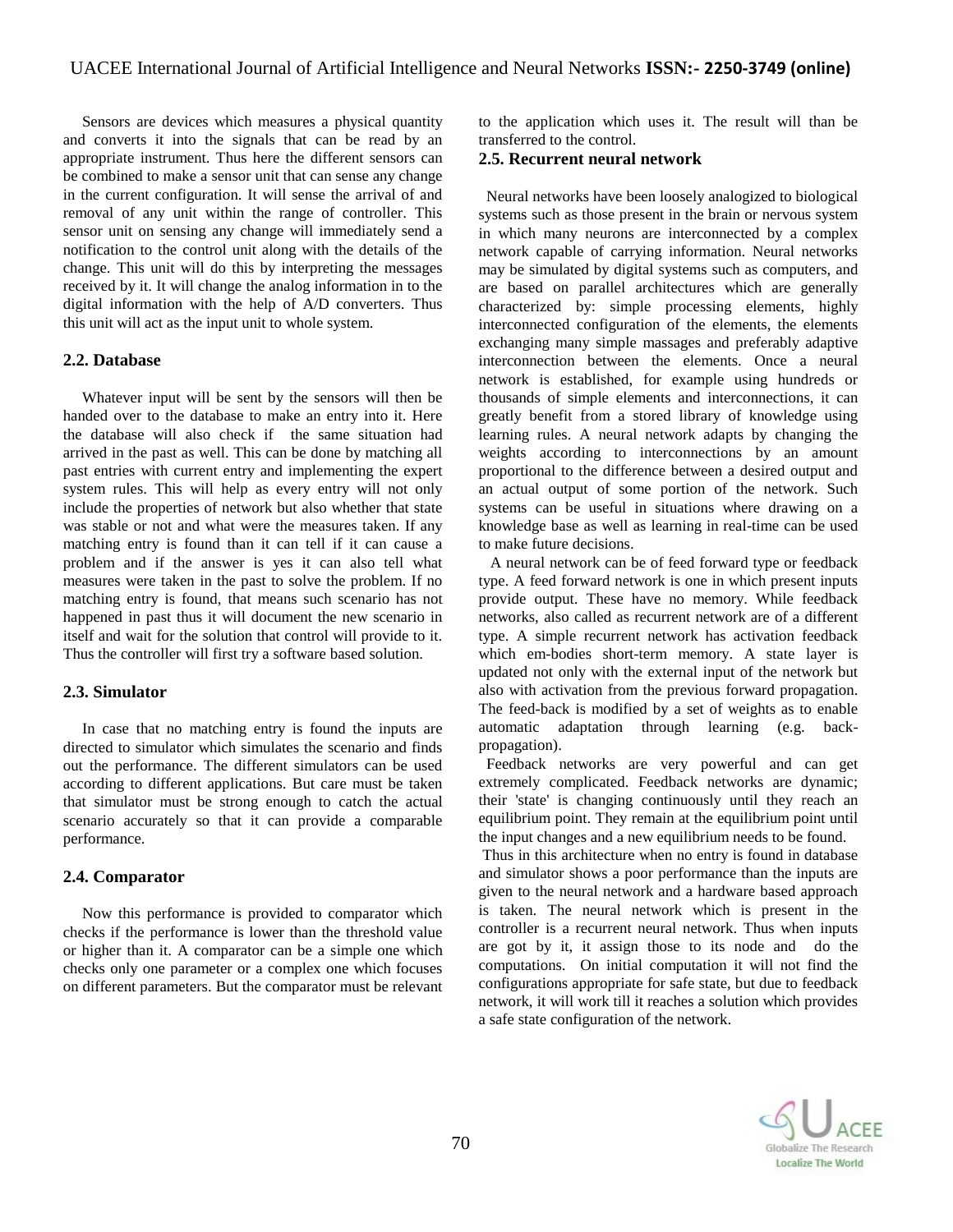Sensors are devices which measures a physical quantity and converts it into the signals that can be read by an appropriate instrument. Thus here the different sensors can be combined to make a sensor unit that can sense any change in the current configuration. It will sense the arrival of and removal of any unit within the range of controller. This sensor unit on sensing any change will immediately send a notification to the control unit along with the details of the change. This unit will do this by interpreting the messages received by it. It will change the analog information in to the digital information with the help of A/D converters. Thus this unit will act as the input unit to whole system.

### **2.2. Database**

Whatever input will be sent by the sensors will then be handed over to the database to make an entry into it. Here the database will also check if the same situation had arrived in the past as well. This can be done by matching all past entries with current entry and implementing the expert system rules. This will help as every entry will not only include the properties of network but also whether that state was stable or not and what were the measures taken. If any matching entry is found than it can tell if it can cause a problem and if the answer is yes it can also tell what measures were taken in the past to solve the problem. If no matching entry is found, that means such scenario has not happened in past thus it will document the new scenario in itself and wait for the solution that control will provide to it. Thus the controller will first try a software based solution.

#### **2.3. Simulator**

In case that no matching entry is found the inputs are directed to simulator which simulates the scenario and finds out the performance. The different simulators can be used according to different applications. But care must be taken that simulator must be strong enough to catch the actual scenario accurately so that it can provide a comparable performance.

#### **2.4. Comparator**

Now this performance is provided to comparator which checks if the performance is lower than the threshold value or higher than it. A comparator can be a simple one which checks only one parameter or a complex one which focuses on different parameters. But the comparator must be relevant

to the application which uses it. The result will than be transferred to the control.

#### **2.5. Recurrent neural network**

 Neural networks have been loosely analogized to biological systems such as those present in the brain or nervous system in which many neurons are interconnected by a complex network capable of carrying information. Neural networks may be simulated by digital systems such as computers, and are based on parallel architectures which are generally characterized by: simple processing elements, highly interconnected configuration of the elements, the elements exchanging many simple massages and preferably adaptive interconnection between the elements. Once a neural network is established, for example using hundreds or thousands of simple elements and interconnections, it can greatly benefit from a stored library of knowledge using learning rules. A neural network adapts by changing the weights according to interconnections by an amount proportional to the difference between a desired output and an actual output of some portion of the network. Such systems can be useful in situations where drawing on a knowledge base as well as learning in real-time can be used to make future decisions.

 A neural network can be of feed forward type or feedback type. A feed forward network is one in which present inputs provide output. These have no memory. While feedback networks, also called as recurrent network are of a different type. A simple recurrent network has activation feedback which em-bodies short-term memory. A state layer is updated not only with the external input of the network but also with activation from the previous forward propagation. The feed-back is modified by a set of weights as to enable automatic adaptation through learning (e.g. backpropagation).

 Feedback networks are very powerful and can get extremely complicated. Feedback networks are dynamic; their 'state' is changing continuously until they reach an equilibrium point. They remain at the equilibrium point until the input changes and a new equilibrium needs to be found.

Thus in this architecture when no entry is found in database and simulator shows a poor performance than the inputs are given to the neural network and a hardware based approach is taken. The neural network which is present in the controller is a recurrent neural network. Thus when inputs are got by it, it assign those to its node and do the computations. On initial computation it will not find the configurations appropriate for safe state, but due to feedback network, it will work till it reaches a solution which provides a safe state configuration of the network.

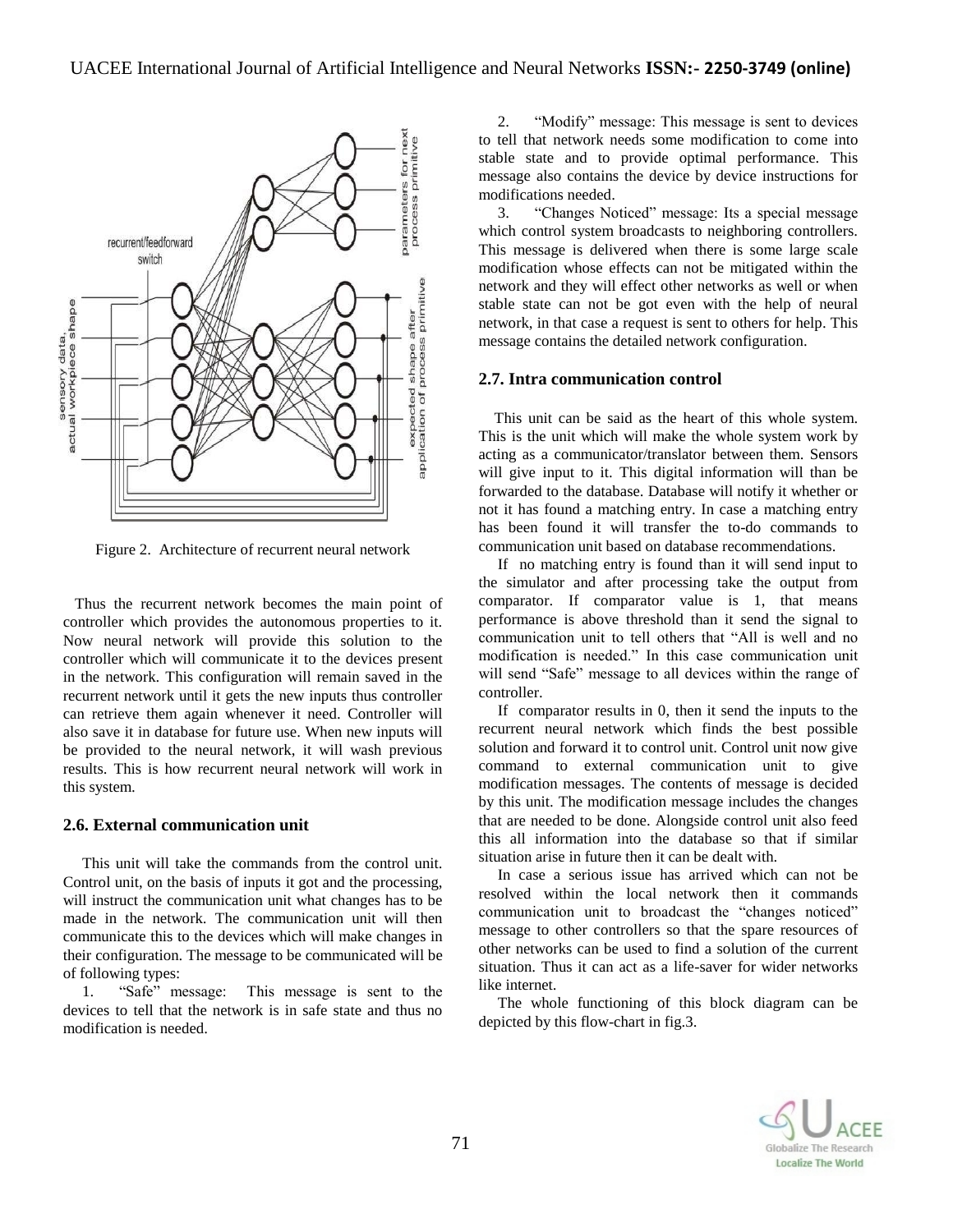

Figure 2. Architecture of recurrent neural network

 Thus the recurrent network becomes the main point of controller which provides the autonomous properties to it. Now neural network will provide this solution to the controller which will communicate it to the devices present in the network. This configuration will remain saved in the recurrent network until it gets the new inputs thus controller can retrieve them again whenever it need. Controller will also save it in database for future use. When new inputs will be provided to the neural network, it will wash previous results. This is how recurrent neural network will work in this system.

### **2.6. External communication unit**

This unit will take the commands from the control unit. Control unit, on the basis of inputs it got and the processing, will instruct the communication unit what changes has to be made in the network. The communication unit will then communicate this to the devices which will make changes in their configuration. The message to be communicated will be of following types:

1. "Safe" message: This message is sent to the devices to tell that the network is in safe state and thus no modification is needed.

2. "Modify" message: This message is sent to devices to tell that network needs some modification to come into stable state and to provide optimal performance. This message also contains the device by device instructions for modifications needed.

3. "Changes Noticed" message: Its a special message which control system broadcasts to neighboring controllers. This message is delivered when there is some large scale modification whose effects can not be mitigated within the network and they will effect other networks as well or when stable state can not be got even with the help of neural network, in that case a request is sent to others for help. This message contains the detailed network configuration.

#### **2.7. Intra communication control**

 This unit can be said as the heart of this whole system. This is the unit which will make the whole system work by acting as a communicator/translator between them. Sensors will give input to it. This digital information will than be forwarded to the database. Database will notify it whether or not it has found a matching entry. In case a matching entry has been found it will transfer the to-do commands to communication unit based on database recommendations.

If no matching entry is found than it will send input to the simulator and after processing take the output from comparator. If comparator value is 1, that means performance is above threshold than it send the signal to communication unit to tell others that "All is well and no modification is needed." In this case communication unit will send "Safe" message to all devices within the range of controller.

If comparator results in 0, then it send the inputs to the recurrent neural network which finds the best possible solution and forward it to control unit. Control unit now give command to external communication unit to give modification messages. The contents of message is decided by this unit. The modification message includes the changes that are needed to be done. Alongside control unit also feed this all information into the database so that if similar situation arise in future then it can be dealt with.

In case a serious issue has arrived which can not be resolved within the local network then it commands communication unit to broadcast the "changes noticed" message to other controllers so that the spare resources of other networks can be used to find a solution of the current situation. Thus it can act as a life-saver for wider networks like internet.

The whole functioning of this block diagram can be depicted by this flow-chart in fig.3.

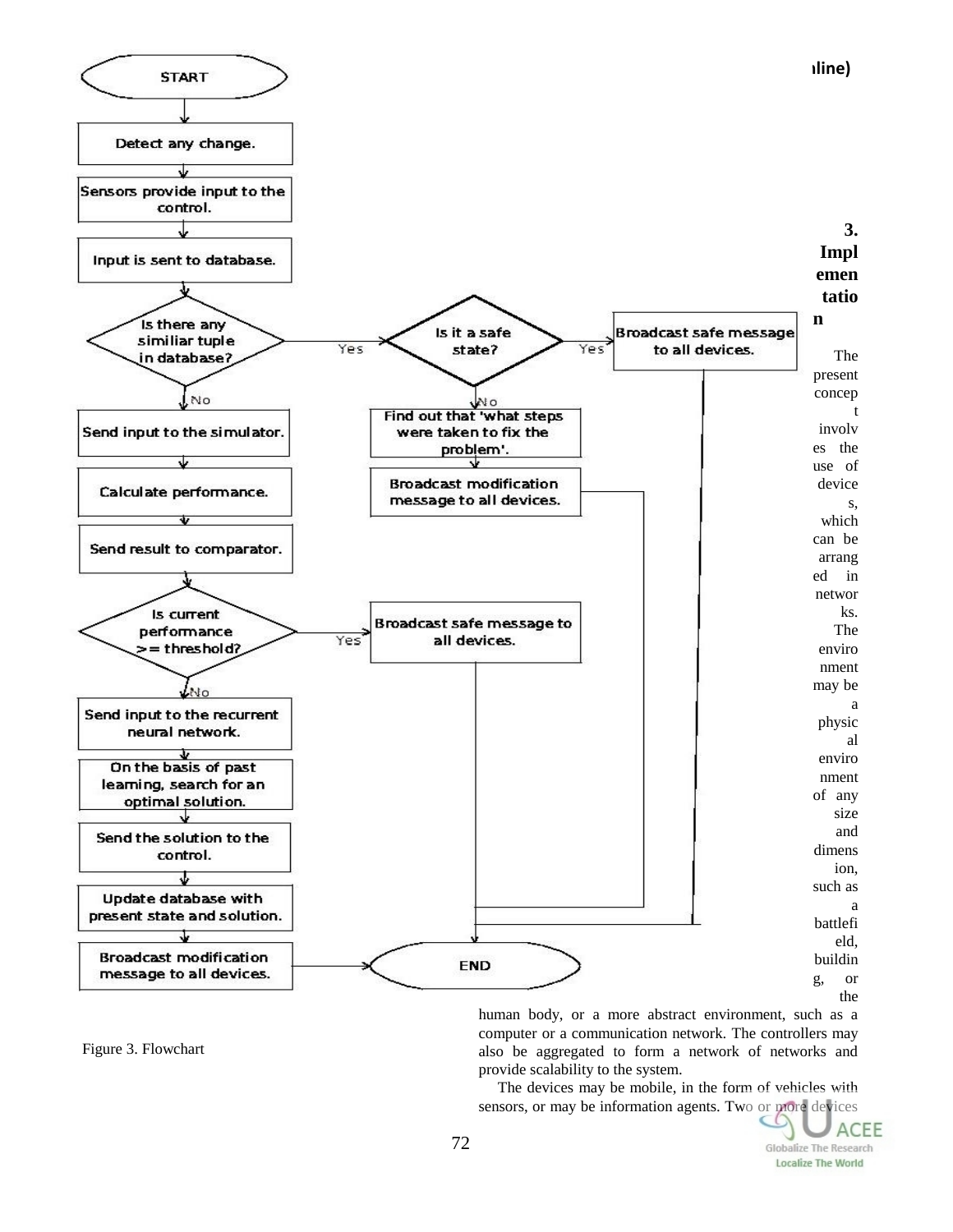

human body, or a more abstract environment, such as a computer or a communication network. The controllers may also be aggregated to form a network of networks and provide scalability to the system.

The devices may be mobile, in the form of vehicles with sensors, or may be information agents. Two or more devices

Figure 3. Flowchart